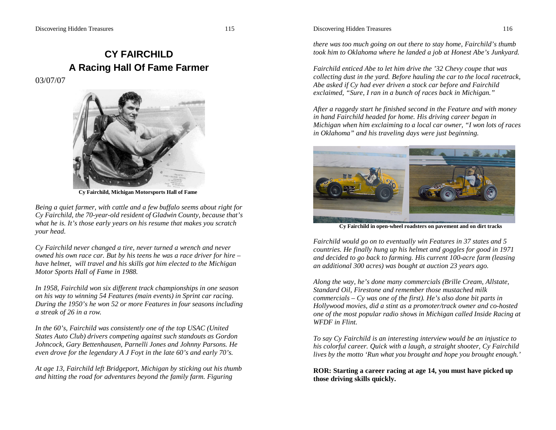# **CY FAIRCHILD A Racing Hall Of Fame Farmer**

03/07/07



 **Cy Fairchild, Michigan Motorsports Hall of Fame**

*Being a quiet farmer, with cattle and a few buffalo seems about right for Cy Fairchild, the 70-year-old resident of Gladwin County, because that's what he is. It's those early years on his resume that makes you scratch your head.*

*Cy Fairchild never changed a tire, never turned a wrench and never owned his own race car. But by his teens he was a race driver for hire – have helmet, will travel and his skills got him elected to the Michigan Motor Sports Hall of Fame in 1988.*

*In 1958, Fairchild won six different track championships in one season on his way to winning 54 Features (main events) in Sprint car racing. During the 1950's he won 52 or more Features in four seasons including a streak of 26 in a row.*

*In the 60's, Fairchild was consistently one of the top USAC (United States Auto Club) drivers competing against such standouts as Gordon Johncock, Gary Bettenhausen, Parnelli Jones and Johnny Parsons. He even drove for the legendary A J Foyt in the late 60's and early 70's.*

*At age 13, Fairchild left Bridgeport, Michigan by sticking out his thumb and hitting the road for adventures beyond the family farm. Figuring* 

#### Discovering Hidden Treasures 116

*there was too much going on out there to stay home, Fairchild's thumb took him to Oklahoma where he landed a job at Honest Abe's Junkyard.*

*Fairchild enticed Abe to let him drive the '32 Chevy coupe that was collecting dust in the yard. Before hauling the car to the local racetrack, Abe asked if Cy had ever driven a stock car before and Fairchild exclaimed, "Sure, I ran in a bunch of races back in Michigan."*

*After a raggedy start he finished second in the Feature and with money in hand Fairchild headed for home. His driving career began in Michigan when him exclaiming to a local car owner, "I won lots of races in Oklahoma" and his traveling days were just beginning.*



**Cy Fairchild in open-wheel roadsters on pavement and on dirt tracks**

*Fairchild would go on to eventually win Features in 37 states and 5 countries. He finally hung up his helmet and goggles for good in 1971 and decided to go back to farming. His current 100-acre farm (leasing an additional 300 acres) was bought at auction 23 years ago.*

*Along the way, he's done many commercials (Brille Cream, Allstate, Standard Oil, Firestone and remember those mustached milk commercials – Cy was one of the first). He's also done bit parts in Hollywood movies, did a stint as a promoter/track owner and co-hosted one of the most popular radio shows in Michigan called Inside Racing at WFDF in Flint.*

*To say Cy Fairchild is an interesting interview would be an injustice to his colorful career. Quick with a laugh, a straight shooter, Cy Fairchild lives by the motto 'Run what you brought and hope you brought enough.'*

**ROR: Starting a career racing at age 14, you must have picked up those driving skills quickly.**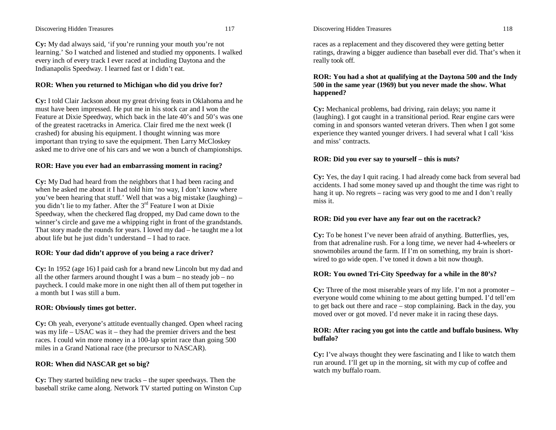#### Discovering Hidden Treasures 117

**Cy:** My dad always said, 'if you're running your mouth you're not learning.' So I watched and listened and studied my opponents. I walked every inch of every track I ever raced at including Daytona and the Indianapolis Speedway. I learned fast or I didn't eat.

## **ROR: When you returned to Michigan who did you drive for?**

**Cy:** I told Clair Jackson about my great driving feats in Oklahoma and he must have been impressed. He put me in his stock car and I won the Feature at Dixie Speedway, which back in the late 40's and 50's was one of the greatest racetracks in America. Clair fired me the next week (I crashed) for abusing his equipment. I thought winning was more important than trying to save the equipment. Then Larry McCloskey asked me to drive one of his cars and we won a bunch of championships.

## **ROR: Have you ever had an embarrassing moment in racing?**

**Cy:** My Dad had heard from the neighbors that I had been racing and when he asked me about it I had told him 'no way, I don't know where you've been hearing that stuff.' Well that was a big mistake (laughing) – you didn't lie to my father. After the 3rd Feature I won at Dixie Speedway, when the checkered flag dropped, my Dad came down to the winner's circle and gave me a whipping right in front of the grandstands. That story made the rounds for years. I loved my dad – he taught me a lot about life but he just didn't understand – I had to race.

## **ROR: Your dad didn't approve of you being a race driver?**

**Cy:** In 1952 (age 16) I paid cash for a brand new Lincoln but my dad and all the other farmers around thought I was a bum – no steady job – no paycheck. I could make more in one night then all of them put together in a month but I was still a bum.

## **ROR: Obviously times got better.**

**Cy:** Oh yeah, everyone's attitude eventually changed. Open wheel racing was my life – USAC was it – they had the premier drivers and the best races. I could win more money in a 100-lap sprint race than going 500 miles in a Grand National race (the precursor to NASCAR).

## **ROR: When did NASCAR get so big?**

**Cy:** They started building new tracks – the super speedways. Then the baseball strike came along. Network TV started putting on Winston Cup Discovering Hidden Treasures 118

races as a replacement and they discovered they were getting better ratings, drawing a bigger audience than baseball ever did. That's when it really took off.

# **ROR: You had a shot at qualifying at the Daytona 500 and the Indy 500 in the same year (1969) but you never made the show. What happened?**

**Cy:** Mechanical problems, bad driving, rain delays; you name it (laughing). I got caught in a transitional period. Rear engine cars were coming in and sponsors wanted veteran drivers. Then when I got some experience they wanted younger drivers. I had several what I call 'kiss and miss' contracts.

## **ROR: Did you ever say to yourself – this is nuts?**

**Cy:** Yes, the day I quit racing. I had already come back from several bad accidents. I had some money saved up and thought the time was right to hang it up. No regrets – racing was very good to me and I don't really miss it.

## **ROR: Did you ever have any fear out on the racetrack?**

**Cy:** To be honest I've never been afraid of anything. Butterflies, yes, from that adrenaline rush. For a long time, we never had 4-wheelers or snowmobiles around the farm. If I'm on something, my brain is shortwired to go wide open. I've toned it down a bit now though.

## **ROR: You owned Tri-City Speedway for a while in the 80's?**

**Cy:** Three of the most miserable years of my life. I'm not a promoter – everyone would come whining to me about getting bumped. I'd tell'em to get back out there and race – stop complaining. Back in the day, you moved over or got moved. I'd never make it in racing these days.

## **ROR: After racing you got into the cattle and buffalo business. Why buffalo?**

**Cy:** I've always thought they were fascinating and I like to watch them run around. I'll get up in the morning, sit with my cup of coffee and watch my buffalo roam.